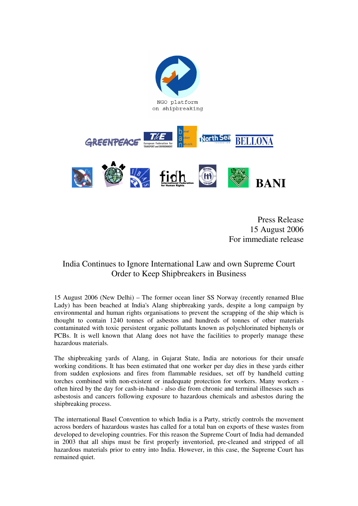

Press Release 15 August 2006 For immediate release

## India Continues to Ignore International Law and own Supreme Court Order to Keep Shipbreakers in Business

15 August 2006 (New Delhi) – The former ocean liner SS Norway (recently renamed Blue Lady) has been beached at India's Alang shipbreaking yards, despite a long campaign by environmental and human rights organisations to prevent the scrapping of the ship which is thought to contain 1240 tonnes of asbestos and hundreds of tonnes of other materials contaminated with toxic persistent organic pollutants known as polychlorinated biphenyls or PCBs. It is well known that Alang does not have the facilities to properly manage these hazardous materials.

The shipbreaking yards of Alang, in Gujarat State, India are notorious for their unsafe working conditions. It has been estimated that one worker per day dies in these yards either from sudden explosions and fires from flammable residues, set off by handheld cutting torches combined with non-existent or inadequate protection for workers. Many workers often hired by the day for cash-in-hand - also die from chronic and terminal illnesses such as asbestosis and cancers following exposure to hazardous chemicals and asbestos during the shipbreaking process.

The international Basel Convention to which India is a Party, strictly controls the movement across borders of hazardous wastes has called for a total ban on exports of these wastes from developed to developing countries. For this reason the Supreme Court of India had demanded in 2003 that all ships must be first properly inventoried, pre-cleaned and stripped of all hazardous materials prior to entry into India. However, in this case, the Supreme Court has remained quiet.